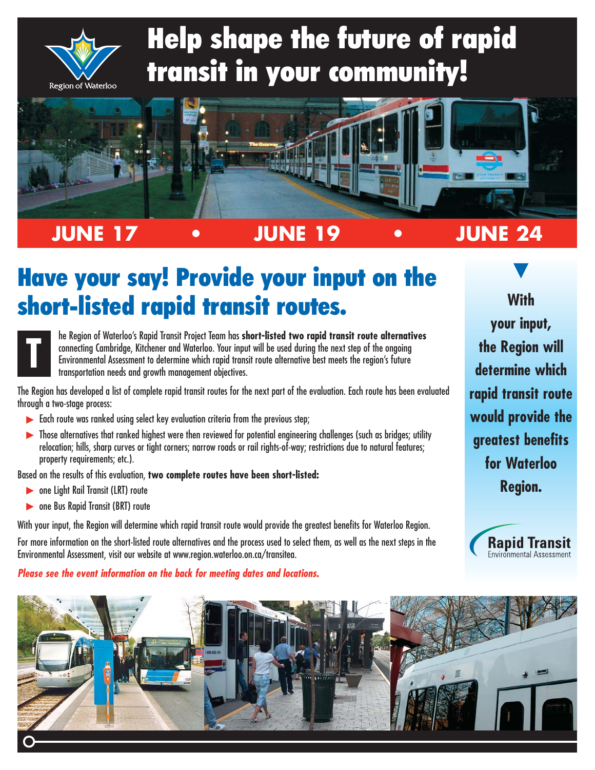

# Help shape the future of rapid transit in your community!



**JUNE 17 • JUNE 19 • JUNE 24**

# Have your say! Provide your input on the short-listed rapid transit routes.



he Region of Waterloo's Rapid Transit Project Team has **short-listed two rapid transit route alternatives** connecting Cambridge, Kitchener and Waterloo. Your input will be used during the next step of the ongoing Environmental Assessment to determine which rapid transit route alternative best meets the region's future transportation needs and growth management objectives.

The Region has developed a list of complete rapid transit routes for the next part of the evaluation. Each route has been evaluated through a two-stage process:

- $\blacktriangleright$  Each route was ranked using select key evaluation criteria from the previous step;
- $\blacktriangleright$  Those alternatives that ranked highest were then reviewed for potential engineering challenges (such as bridges; utility relocation; hills, sharp curves or tight corners; narrow roads or rail rights-of-way; restrictions due to natural features; property requirements; etc.).

Based on the results of this evaluation, **two complete routes have been short-listed:**

- **Letter Steph** cone Light Rail Transit (LRT) route
- **Loone Bus Rapid Transit (BRT) route**

With your input, the Region will determine which rapid transit route would provide the greatest benefits for Waterloo Region.

For more information on the short-listed route alternatives and the process used to select them, as well as the next steps in the Environmental Assessment, visit our website at www.region.waterloo.on.ca/transitea.

#### **Please see the event information on the back for meeting dates and locations.**

V **With your input, the Region will determine which rapid transit route would provide the greatest benefits for Waterloo Region.**